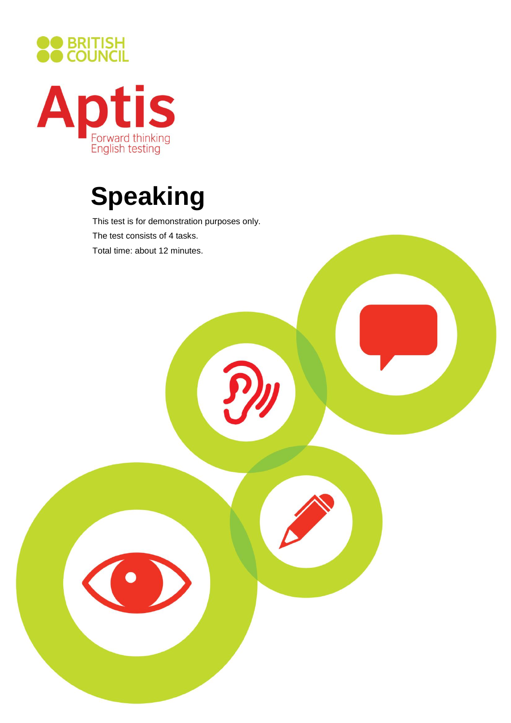



# **Speaking**

This test is for demonstration purposes only. The test consists of 4 tasks. Total time: about 12 minutes.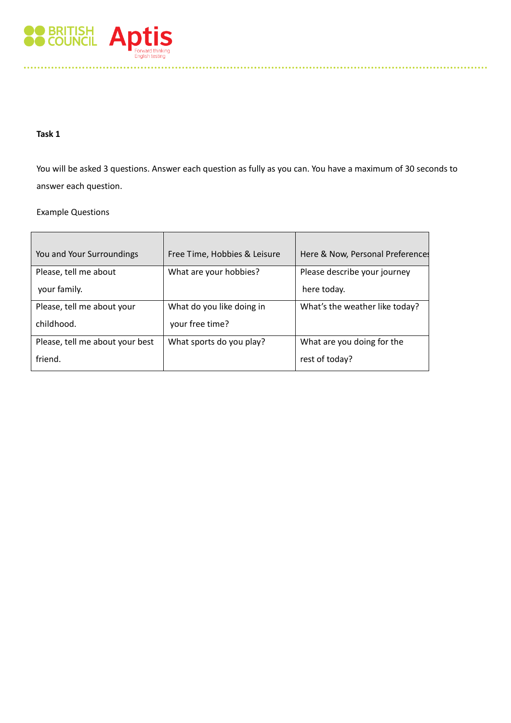

## **Task 1**

You will be asked 3 questions. Answer each question as fully as you can. You have a maximum of 30 seconds to answer each question.

Example Questions

| You and Your Surroundings       | Free Time, Hobbies & Leisure | Here & Now, Personal Preferences |
|---------------------------------|------------------------------|----------------------------------|
| Please, tell me about           | What are your hobbies?       | Please describe your journey     |
| your family.                    |                              | here today.                      |
| Please, tell me about your      | What do you like doing in    | What's the weather like today?   |
| childhood.                      | your free time?              |                                  |
| Please, tell me about your best | What sports do you play?     | What are you doing for the       |
| friend.                         |                              | rest of today?                   |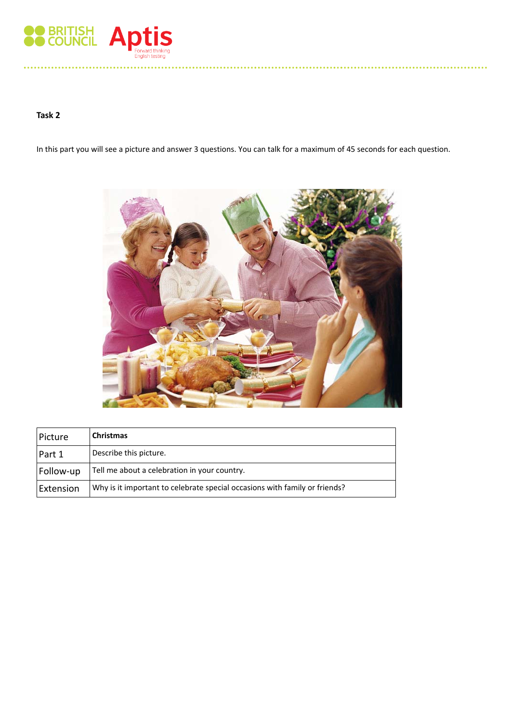

# **Task 2**

In this part you will see a picture and answer 3 questions. You can talk for a maximum of 45 seconds for each question.



| Picture   | Christmas                                                                  |
|-----------|----------------------------------------------------------------------------|
| Part 1    | Describe this picture.                                                     |
| Follow-up | Tell me about a celebration in your country.                               |
| Extension | Why is it important to celebrate special occasions with family or friends? |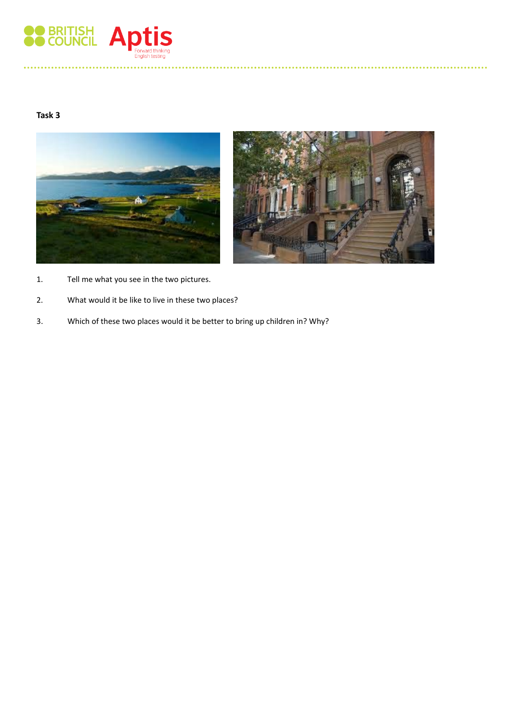

## **Task 3**





- 1. Tell me what you see in the two pictures.
- 2. What would it be like to live in these two places?
- 3. Which of these two places would it be better to bring up children in? Why?